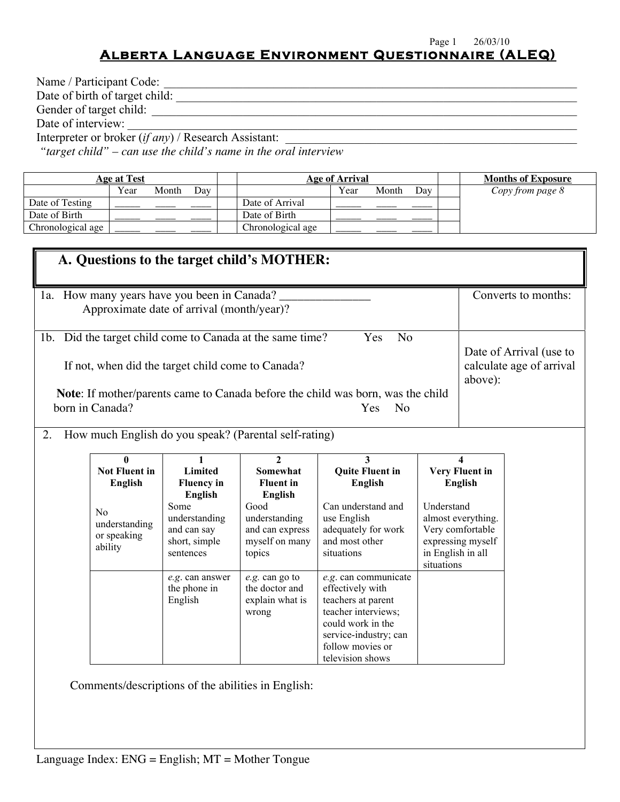#### Page 1 26/03/10

### **Alberta Language Environment Questionnaire (ALEQ)**

| Name / Participant Code:                               |          |
|--------------------------------------------------------|----------|
| Date of birth of target child:                         |          |
| Gender of target child:                                |          |
| Date of interview:                                     |          |
| Interpreter or broker $(if any)$ / Research Assistant: |          |
|                                                        | $\cdots$ |

*"target child" – can use the child's name in the oral interview*

|                   | Age at Test |       |     | Age of Arrival    |      |       |     |  | <b>Months of Exposure</b> |
|-------------------|-------------|-------|-----|-------------------|------|-------|-----|--|---------------------------|
|                   | Year        | Month | Dav |                   | Year | Month | Dav |  | Copy from page 8          |
| Date of Testing   |             |       |     | Date of Arrival   |      |       |     |  |                           |
| Date of Birth     |             |       |     | Date of Birth     |      |       |     |  |                           |
| Chronological age |             |       |     | Chronological age |      |       |     |  |                           |

|    | A. Questions to the target child's MOTHER:                                                                                                                                                                                                                                                                                                                                                               |                                                                                                                           |                                                                                                                                               |                                                                                                                                                                             |                                               |                                                                                                             |  |  |  |  |
|----|----------------------------------------------------------------------------------------------------------------------------------------------------------------------------------------------------------------------------------------------------------------------------------------------------------------------------------------------------------------------------------------------------------|---------------------------------------------------------------------------------------------------------------------------|-----------------------------------------------------------------------------------------------------------------------------------------------|-----------------------------------------------------------------------------------------------------------------------------------------------------------------------------|-----------------------------------------------|-------------------------------------------------------------------------------------------------------------|--|--|--|--|
|    | 1a. How many years have you been in Canada?<br>Converts to months:<br>Approximate date of arrival (month/year)?                                                                                                                                                                                                                                                                                          |                                                                                                                           |                                                                                                                                               |                                                                                                                                                                             |                                               |                                                                                                             |  |  |  |  |
| 2. | N <sub>o</sub><br>1b. Did the target child come to Canada at the same time?<br>Yes<br>Date of Arrival (use to<br>calculate age of arrival<br>If not, when did the target child come to Canada?<br>above):<br><b>Note:</b> If mother/parents came to Canada before the child was born, was the child<br>born in Canada?<br>Yes<br>N <sub>o</sub><br>How much English do you speak? (Parental self-rating) |                                                                                                                           |                                                                                                                                               |                                                                                                                                                                             |                                               |                                                                                                             |  |  |  |  |
|    | $\mathbf{0}$<br><b>Not Fluent in</b><br><b>English</b><br>No<br>understanding<br>or speaking<br>ability                                                                                                                                                                                                                                                                                                  | 1<br>Limited<br><b>Fluency in</b><br><b>English</b><br>Some<br>understanding<br>and can say<br>short, simple<br>sentences | $\mathbf{2}$<br><b>Somewhat</b><br><b>Fluent</b> in<br><b>English</b><br>Good<br>understanding<br>and can express<br>myself on many<br>topics | 3<br><b>Quite Fluent in</b><br>English<br>Can understand and<br>use English<br>adequately for work<br>and most other<br>situations                                          | Understand<br>in English in all<br>situations | 4<br><b>Very Fluent in</b><br><b>English</b><br>almost everything.<br>Very comfortable<br>expressing myself |  |  |  |  |
|    |                                                                                                                                                                                                                                                                                                                                                                                                          | e.g. can answer<br>the phone in<br>English                                                                                | e.g. can go to<br>the doctor and<br>explain what is<br>wrong                                                                                  | e.g. can communicate<br>effectively with<br>teachers at parent<br>teacher interviews;<br>could work in the<br>service-industry; can<br>follow movies or<br>television shows |                                               |                                                                                                             |  |  |  |  |

Comments/descriptions of the abilities in English: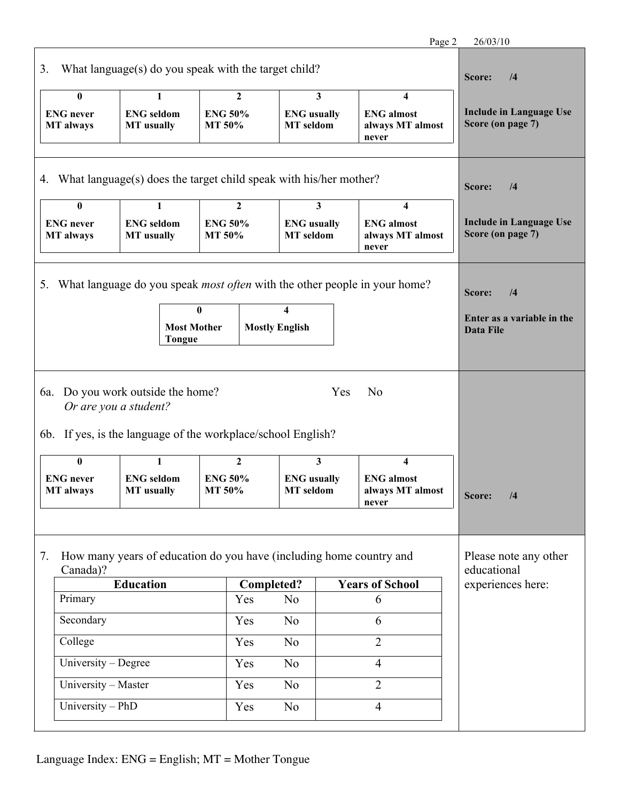|                                                                      |                                                                                                                            |                                          |                                        |     | Page 2                                                                    | 26/03/10                                            |
|----------------------------------------------------------------------|----------------------------------------------------------------------------------------------------------------------------|------------------------------------------|----------------------------------------|-----|---------------------------------------------------------------------------|-----------------------------------------------------|
| 3.                                                                   | What language(s) do you speak with the target child?                                                                       |                                          |                                        |     |                                                                           | Score:<br>/4                                        |
| 0                                                                    |                                                                                                                            | $\mathbf{2}$                             |                                        | 3   | 4                                                                         |                                                     |
| <b>ENG</b> never<br><b>MT</b> always                                 | <b>ENG</b> seldom<br><b>MT</b> usually                                                                                     | <b>ENG 50%</b><br>MT 50%                 | <b>ENG</b> usually<br><b>MT</b> seldom |     | <b>ENG</b> almost<br>always MT almost<br>never                            | <b>Include in Language Use</b><br>Score (on page 7) |
| 4. What language(s) does the target child speak with his/her mother? |                                                                                                                            |                                          |                                        |     |                                                                           | Score:<br>/4                                        |
| $\bf{0}$<br><b>ENG</b> never<br><b>MT</b> always                     | 1<br><b>ENG</b> seldom<br><b>MT</b> usually                                                                                | $\mathbf{2}$<br><b>ENG 50%</b><br>MT 50% | <b>ENG</b> usually<br><b>MT</b> seldom | 3   | $\overline{\mathbf{4}}$<br><b>ENG</b> almost<br>always MT almost<br>never | <b>Include in Language Use</b><br>Score (on page 7) |
| 5.                                                                   | What language do you speak <i>most often</i> with the other people in your home?                                           |                                          |                                        |     |                                                                           | Score:<br>/4                                        |
|                                                                      | <b>Most Mother</b><br><b>Tongue</b>                                                                                        | $\bf{0}$                                 | 4<br><b>Mostly English</b>             |     |                                                                           | Enter as a variable in the<br>Data File             |
|                                                                      | 6a. Do you work outside the home?<br>Or are you a student?<br>6b. If yes, is the language of the workplace/school English? |                                          |                                        | Yes | N <sub>o</sub>                                                            |                                                     |
| $\bf{0}$                                                             | 1                                                                                                                          | $\overline{2}$                           |                                        | 3   | $\overline{\mathbf{4}}$                                                   |                                                     |
| <b>ENG</b> never<br><b>MT</b> always                                 | <b>ENG</b> seldom<br><b>MT</b> usually                                                                                     | <b>ENG 50%</b><br>MT 50%                 | <b>ENG</b> usually<br><b>MT</b> seldom |     | <b>ENG</b> almost<br>always MT almost<br>never                            | Score:<br>/4                                        |
|                                                                      |                                                                                                                            |                                          |                                        |     |                                                                           |                                                     |
| 7.<br>Canada)?                                                       | How many years of education do you have (including home country and                                                        |                                          |                                        |     |                                                                           | Please note any other<br>educational                |
|                                                                      | <b>Education</b>                                                                                                           |                                          | <b>Completed?</b><br>N <sub>0</sub>    |     | <b>Years of School</b>                                                    | experiences here:                                   |
|                                                                      | Primary<br>Yes                                                                                                             |                                          |                                        |     | 6                                                                         |                                                     |
|                                                                      | Secondary<br>Yes                                                                                                           |                                          |                                        | 6   |                                                                           |                                                     |
| College                                                              |                                                                                                                            | Yes                                      | No                                     |     | $\overline{2}$                                                            |                                                     |
| University – Degree                                                  |                                                                                                                            | Yes                                      | No                                     |     | $\overline{4}$                                                            |                                                     |
| University - Master                                                  |                                                                                                                            | Yes                                      | No                                     |     | $\overline{2}$                                                            |                                                     |
| University - PhD                                                     |                                                                                                                            | Yes                                      | N <sub>o</sub>                         |     | $\overline{4}$                                                            |                                                     |
|                                                                      |                                                                                                                            |                                          |                                        |     |                                                                           |                                                     |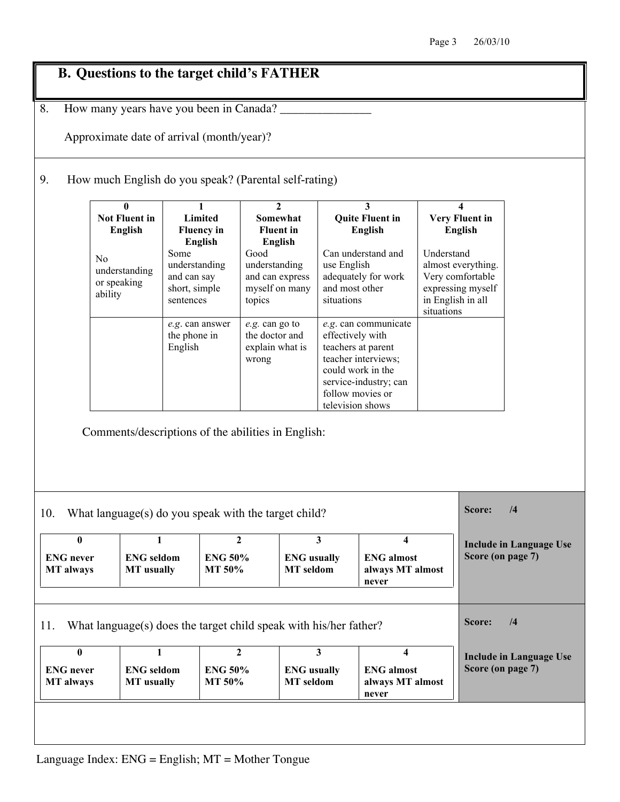# **B. Questions to the target child's FATHER**

8. How many years have you been in Canada?

Approximate date of arrival (month/year)?

9. How much English do you speak? (Parental self-rating)

|                                                  | $\bf{0}$<br><b>Not Fluent in</b><br>English               | $\mathbf{1}$<br>Limited<br><b>Fluency in</b><br>English                                                    | $\overline{2}$<br>Somewhat<br><b>Fluent</b> in<br>English            |                                                          | 3<br><b>Quite Fluent in</b><br><b>English</b>                                                                   |                                               | 4<br><b>Very Fluent in</b><br><b>English</b>                |                                |
|--------------------------------------------------|-----------------------------------------------------------|------------------------------------------------------------------------------------------------------------|----------------------------------------------------------------------|----------------------------------------------------------|-----------------------------------------------------------------------------------------------------------------|-----------------------------------------------|-------------------------------------------------------------|--------------------------------|
|                                                  | N <sub>0</sub><br>understanding<br>or speaking<br>ability | Some<br>understanding<br>and can say<br>short, simple<br>sentences                                         | Good<br>understanding<br>and can express<br>myself on many<br>topics | use English<br>and most other<br>situations              | Can understand and<br>adequately for work                                                                       | Understand<br>in English in all<br>situations | almost everything.<br>Very comfortable<br>expressing myself |                                |
|                                                  |                                                           | e.g. can answer<br>the phone in<br>English                                                                 | e.g. can go to<br>the doctor and<br>explain what is<br>wrong         | effectively with<br>follow movies or<br>television shows | e.g. can communicate<br>teachers at parent<br>teacher interviews;<br>could work in the<br>service-industry; can |                                               |                                                             |                                |
| 10.                                              |                                                           | Comments/descriptions of the abilities in English:<br>What language(s) do you speak with the target child? |                                                                      |                                                          |                                                                                                                 |                                               | Score:                                                      | /4                             |
| $\bf{0}$<br><b>ENG</b> never<br><b>MT</b> always | $\mathbf{1}$<br><b>ENG</b> seldom<br><b>MT</b> usually    | <b>ENG 50%</b><br>MT 50%                                                                                   | $\mathbf{2}$<br><b>MT</b> seldom                                     | $\mathbf{3}$<br><b>ENG</b> usually                       | $\overline{\mathbf{4}}$<br><b>ENG</b> almost<br>always MT almost<br>never                                       |                                               | Score (on page 7)                                           | <b>Include in Language Use</b> |
| 11.                                              |                                                           | What language(s) does the target child speak with his/her father?                                          |                                                                      |                                                          |                                                                                                                 |                                               | Score:                                                      | /4                             |
| $\bf{0}$<br><b>ENG</b> never<br><b>MT</b> always | $\mathbf{1}$<br><b>ENG</b> seldom<br><b>MT</b> usually    | <b>ENG 50%</b><br>MT 50%                                                                                   | $\mathbf{2}$<br><b>MT</b> seldom                                     | 3 <sup>1</sup><br><b>ENG</b> usually                     | $\Lambda$<br><b>ENG</b> almost<br>always MT almost<br>never                                                     |                                               | Score (on page 7)                                           | <b>Include in Language Use</b> |
|                                                  |                                                           |                                                                                                            |                                                                      |                                                          |                                                                                                                 |                                               |                                                             |                                |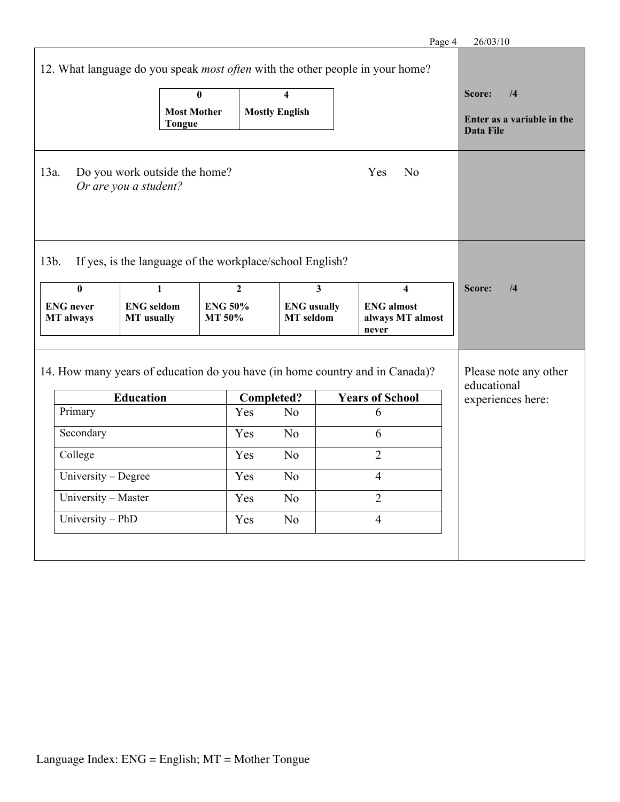|                               |                                                          |                          |                   |                                        |                         | Page 4                                                                                                 | 26/03/10                                                  |
|-------------------------------|----------------------------------------------------------|--------------------------|-------------------|----------------------------------------|-------------------------|--------------------------------------------------------------------------------------------------------|-----------------------------------------------------------|
|                               |                                                          |                          |                   |                                        |                         | 12. What language do you speak <i>most often</i> with the other people in your home?                   |                                                           |
|                               |                                                          | $\overline{\mathbf{0}}$  |                   | $\overline{\mathbf{4}}$                |                         |                                                                                                        | Score:<br>/4                                              |
|                               |                                                          | <b>Most Mother</b>       |                   | <b>Mostly English</b>                  |                         |                                                                                                        | Enter as a variable in the                                |
|                               | <b>Tongue</b>                                            |                          |                   |                                        |                         |                                                                                                        | <b>Data File</b>                                          |
| 13a.                          | Do you work outside the home?<br>Or are you a student?   |                          |                   |                                        |                         | Yes<br>No                                                                                              |                                                           |
| 13b.                          | If yes, is the language of the workplace/school English? |                          |                   |                                        |                         |                                                                                                        |                                                           |
| $\overline{\mathbf{0}}$       | $\mathbf{1}$                                             |                          | $\mathbf{2}$      |                                        | $\overline{\mathbf{3}}$ | 4                                                                                                      | Score:<br>/4                                              |
| <b>ENG</b> never<br>MT always | <b>ENG</b> seldom<br><b>MT</b> usually                   | <b>ENG 50%</b><br>MT 50% |                   | <b>ENG</b> usually<br><b>MT</b> seldom |                         | <b>ENG</b> almost<br>always MT almost<br>never                                                         |                                                           |
|                               | <b>Education</b>                                         |                          | <b>Completed?</b> |                                        |                         | 14. How many years of education do you have (in home country and in Canada)?<br><b>Years of School</b> | Please note any other<br>educational<br>experiences here: |
| Primary<br>Secondary          |                                                          |                          | Yes<br>Yes        | No<br>N <sub>o</sub>                   |                         | 6<br>6                                                                                                 |                                                           |
| College                       |                                                          |                          | Yes               | No                                     |                         | $\overline{2}$                                                                                         |                                                           |
| University - Degree           |                                                          |                          | Yes               | N <sub>o</sub>                         |                         | $\overline{4}$                                                                                         |                                                           |
| University - Master           |                                                          |                          | Yes               | N <sub>o</sub>                         |                         | $\overline{2}$                                                                                         |                                                           |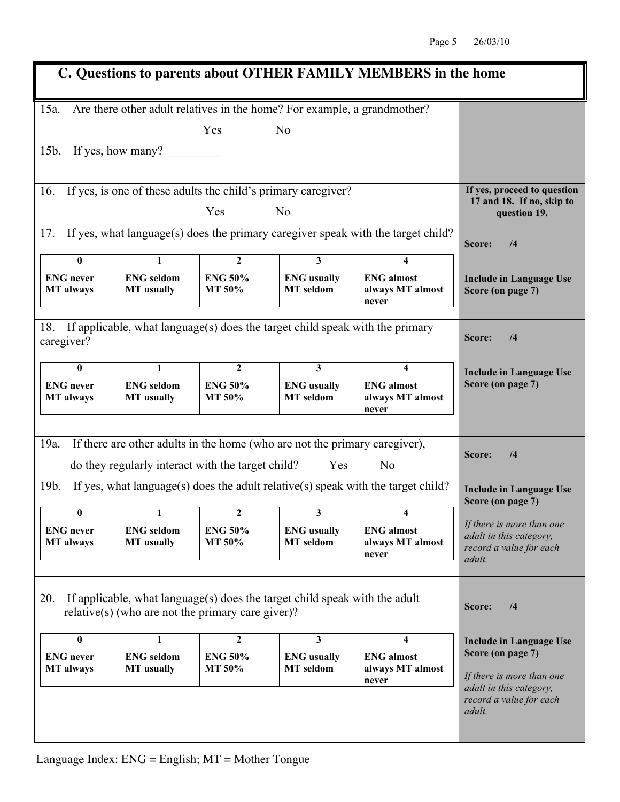|                                                                      |                                                          |                                                                                                   |                                                                                                                           | C. Questions to parents about OTHER FAMILY MEMBERS in the home                   |                                                                                                                                                                  |
|----------------------------------------------------------------------|----------------------------------------------------------|---------------------------------------------------------------------------------------------------|---------------------------------------------------------------------------------------------------------------------------|----------------------------------------------------------------------------------|------------------------------------------------------------------------------------------------------------------------------------------------------------------|
| 15a.                                                                 |                                                          |                                                                                                   | Are there other adult relatives in the home? For example, a grandmother?                                                  |                                                                                  |                                                                                                                                                                  |
|                                                                      |                                                          | Yes                                                                                               | N <sub>0</sub>                                                                                                            |                                                                                  |                                                                                                                                                                  |
| $15b$ .                                                              | If yes, how many?                                        |                                                                                                   |                                                                                                                           |                                                                                  |                                                                                                                                                                  |
|                                                                      |                                                          |                                                                                                   |                                                                                                                           |                                                                                  |                                                                                                                                                                  |
| If yes, is one of these adults the child's primary caregiver?<br>16. | If yes, proceed to question<br>17 and 18. If no, skip to |                                                                                                   |                                                                                                                           |                                                                                  |                                                                                                                                                                  |
|                                                                      |                                                          | Yes                                                                                               | N <sub>0</sub>                                                                                                            |                                                                                  | question 19.                                                                                                                                                     |
| 17.                                                                  |                                                          |                                                                                                   |                                                                                                                           | If yes, what language(s) does the primary caregiver speak with the target child? | Score:<br>/4                                                                                                                                                     |
| $\bf{0}$                                                             | $\mathbf{1}$                                             | $\overline{2}$                                                                                    | $\overline{\mathbf{3}}$                                                                                                   | 4                                                                                |                                                                                                                                                                  |
| <b>ENG</b> never<br><b>MT</b> always                                 | <b>ENG</b> seldom<br><b>MT</b> usually                   | <b>ENG 50%</b><br><b>MT 50%</b>                                                                   | <b>ENG</b> usually<br><b>MT</b> seldom                                                                                    | <b>ENG</b> almost<br>always MT almost<br>never                                   | <b>Include in Language Use</b><br>Score (on page 7)                                                                                                              |
| 18.<br>caregiver?                                                    |                                                          |                                                                                                   | If applicable, what language(s) does the target child speak with the primary                                              |                                                                                  | Score:<br>$\sqrt{4}$                                                                                                                                             |
| $\mathbf{0}$                                                         | 1                                                        | $\overline{2}$                                                                                    | $\mathbf{3}$                                                                                                              | 4                                                                                | <b>Include in Language Use</b>                                                                                                                                   |
| <b>ENG</b> never<br><b>MT</b> always                                 | <b>ENG</b> seldom<br><b>MT</b> usually                   | <b>ENG 50%</b><br>MT 50%                                                                          | <b>ENG</b> usually<br><b>MT</b> seldom                                                                                    | <b>ENG</b> almost<br>always MT almost<br>never                                   | Score (on page 7)                                                                                                                                                |
|                                                                      |                                                          |                                                                                                   |                                                                                                                           |                                                                                  |                                                                                                                                                                  |
| 19a.                                                                 |                                                          |                                                                                                   | If there are other adults in the home (who are not the primary caregiver),                                                |                                                                                  | /4<br>Score:                                                                                                                                                     |
|                                                                      |                                                          | do they regularly interact with the target child?                                                 | Yes                                                                                                                       | N <sub>o</sub>                                                                   |                                                                                                                                                                  |
| 19b.                                                                 |                                                          |                                                                                                   |                                                                                                                           | If yes, what language(s) does the adult relative(s) speak with the target child? | <b>Include in Language Use</b><br>Score (on page 7)                                                                                                              |
| $\mathbf{0}$                                                         | 1                                                        | 2                                                                                                 | 3                                                                                                                         | 4                                                                                |                                                                                                                                                                  |
| <b>ENG</b> never<br><b>MT</b> always                                 | <b>ENG</b> seldom<br><b>MT</b> usually                   | <b>ENG 50%</b><br>MT 50%                                                                          | <b>ENG</b> usually<br><b>MT</b> seldom                                                                                    | <b>ENG</b> almost<br>always MT almost<br>never                                   | If there is more than one<br>adult in this category,<br>record a value for each<br>adult.                                                                        |
| 20.<br>$\bf{0}$<br><b>ENG</b> never<br><b>MT</b> always              | 1<br><b>ENG</b> seldom<br><b>MT</b> usually              | relative(s) (who are not the primary care giver)?<br>$\boldsymbol{2}$<br><b>ENG 50%</b><br>MT 50% | If applicable, what language(s) does the target child speak with the adult<br>3<br><b>ENG</b> usually<br><b>MT</b> seldom | 4<br><b>ENG</b> almost<br>always MT almost<br>never                              | Score:<br>/4<br><b>Include in Language Use</b><br>Score (on page 7)<br>If there is more than one<br>adult in this category,<br>record a value for each<br>adult. |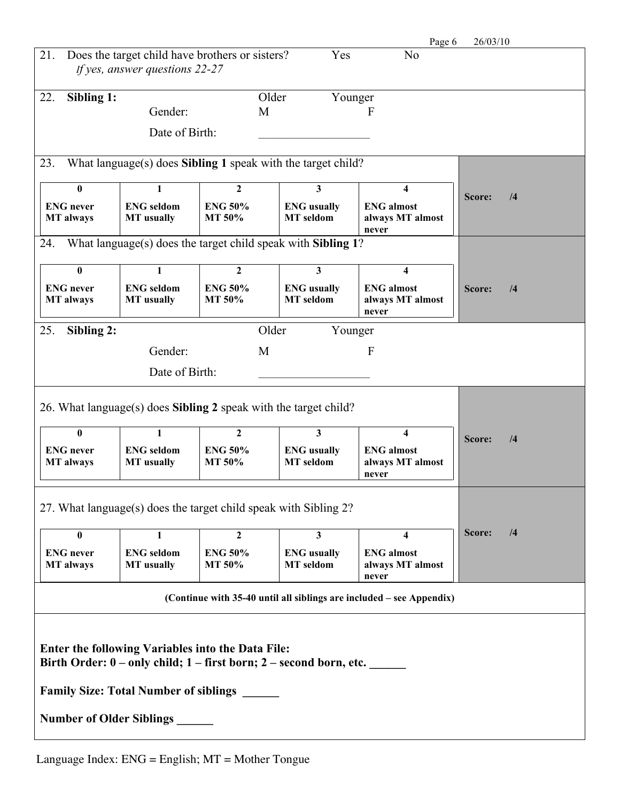| 26/03/10             |
|----------------------|
|                      |
|                      |
|                      |
|                      |
|                      |
| Score:<br>/4         |
|                      |
|                      |
|                      |
| Score:<br>/4         |
|                      |
|                      |
|                      |
|                      |
| Score:<br>/4         |
|                      |
|                      |
| Score:<br>$\sqrt{4}$ |
|                      |
|                      |
|                      |
|                      |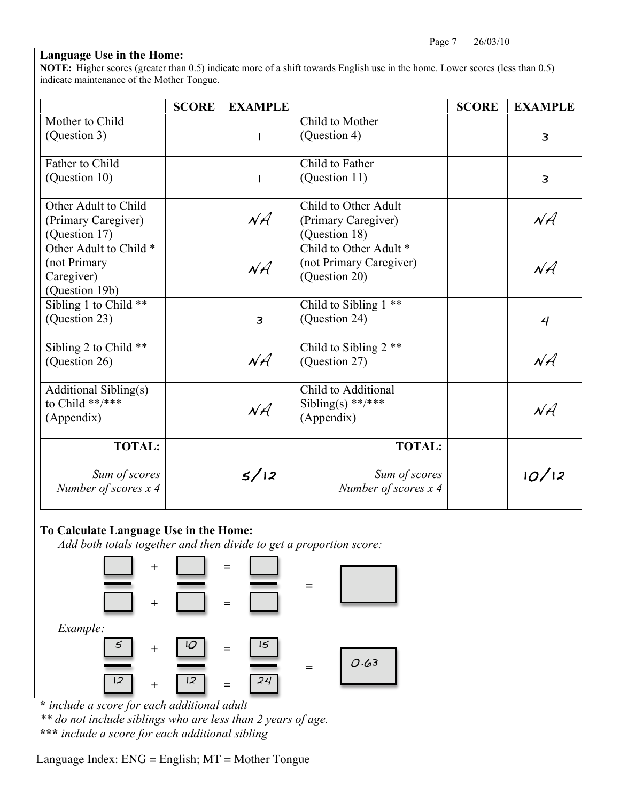### **Language Use in the Home:**

**NOTE:** Higher scores (greater than 0.5) indicate more of a shift towards English use in the home. Lower scores (less than 0.5) indicate maintenance of the Mother Tongue.

|                                         | <b>SCORE</b> | <b>EXAMPLE</b> |                                  | <b>SCORE</b> | <b>EXAMPLE</b>  |
|-----------------------------------------|--------------|----------------|----------------------------------|--------------|-----------------|
| Mother to Child                         |              |                | Child to Mother                  |              |                 |
| (Question 3)                            |              | $\mathbf{I}$   | (Question 4)                     |              | $\overline{3}$  |
| Father to Child                         |              |                | Child to Father                  |              |                 |
| (Question 10)                           |              | $\mathbf{l}$   | (Question 11)                    |              | $\overline{3}$  |
| Other Adult to Child                    |              |                | Child to Other Adult             |              |                 |
| (Primary Caregiver)                     |              | $N\mathcal{A}$ | (Primary Caregiver)              |              | $N\mathcal{A}$  |
| (Question 17)                           |              |                | (Question 18)                    |              |                 |
| Other Adult to Child *                  |              |                | Child to Other Adult *           |              |                 |
| (not Primary                            |              | $N\mathcal{A}$ | (not Primary Caregiver)          |              | $N \mathcal{A}$ |
| Caregiver)                              |              |                | (Question 20)                    |              |                 |
| (Question 19b)<br>Sibling 1 to Child ** |              |                | Child to Sibling 1 **            |              |                 |
| (Question 23)                           |              | 3              | (Question 24)                    |              | 4               |
|                                         |              |                |                                  |              |                 |
| Sibling 2 to Child **                   |              |                | Child to Sibling 2 <sup>**</sup> |              |                 |
| (Question 26)                           |              | $N\mathcal{A}$ | (Question 27)                    |              | $N\mathcal{A}$  |
| <b>Additional Sibling(s)</b>            |              |                | Child to Additional              |              |                 |
| to Child **/***                         |              | $N\mathcal{A}$ | Sibling(s) **/***                |              | $N\hat{A}$      |
| (Appendix)                              |              |                | (Appendix)                       |              |                 |
| <b>TOTAL:</b>                           |              |                | <b>TOTAL:</b>                    |              |                 |
| <b>Sum of scores</b>                    |              | 5/12           | <b>Sum of scores</b>             |              | 10/12           |
| Number of scores x 4                    |              |                | Number of scores x 4             |              |                 |
|                                         |              |                |                                  |              |                 |



**<sup>\*</sup>** *include a score for each additional adult*

*\*\* do not include siblings who are less than 2 years of age.*

**\*\*\*** *include a score for each additional sibling*

Language Index: ENG = English; MT = Mother Tongue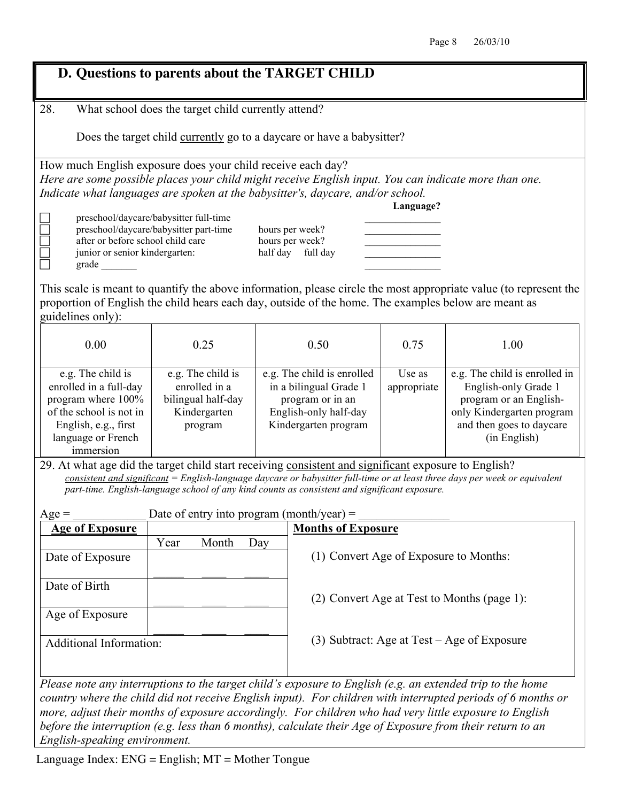|                                                                                                                                                                                                                                                                                                                                     | D. Questions to parents about the TARGET CHILD                                                                                                                                                                                                                                                                                                                                                        |      |                                        |      |                                                                                                                               |  |  |  |  |
|-------------------------------------------------------------------------------------------------------------------------------------------------------------------------------------------------------------------------------------------------------------------------------------------------------------------------------------|-------------------------------------------------------------------------------------------------------------------------------------------------------------------------------------------------------------------------------------------------------------------------------------------------------------------------------------------------------------------------------------------------------|------|----------------------------------------|------|-------------------------------------------------------------------------------------------------------------------------------|--|--|--|--|
| 28.                                                                                                                                                                                                                                                                                                                                 | What school does the target child currently attend?                                                                                                                                                                                                                                                                                                                                                   |      |                                        |      |                                                                                                                               |  |  |  |  |
|                                                                                                                                                                                                                                                                                                                                     | Does the target child currently go to a daycare or have a babysitter?                                                                                                                                                                                                                                                                                                                                 |      |                                        |      |                                                                                                                               |  |  |  |  |
| How much English exposure does your child receive each day?<br>Here are some possible places your child might receive English input. You can indicate more than one.<br>Indicate what languages are spoken at the babysitter's, daycare, and/or school.<br>Language?                                                                |                                                                                                                                                                                                                                                                                                                                                                                                       |      |                                        |      |                                                                                                                               |  |  |  |  |
| preschool/daycare/babysitter full-time<br>preschool/daycare/babysitter part-time<br>hours per week?<br>after or before school child care<br>hours per week?<br>junior or senior kindergarten:<br>half day full day                                                                                                                  |                                                                                                                                                                                                                                                                                                                                                                                                       |      |                                        |      |                                                                                                                               |  |  |  |  |
| proportion of English the child hears each day, outside of the home. The examples below are meant as<br>guidelines only):                                                                                                                                                                                                           |                                                                                                                                                                                                                                                                                                                                                                                                       |      |                                        |      | This scale is meant to quantify the above information, please circle the most appropriate value (to represent the             |  |  |  |  |
| 0.00                                                                                                                                                                                                                                                                                                                                | 0.25                                                                                                                                                                                                                                                                                                                                                                                                  | 0.50 |                                        | 0.75 | 1.00                                                                                                                          |  |  |  |  |
| e.g. The child is<br>enrolled in a full-day<br>program where 100%<br>of the school is not in<br>English, e.g., first<br>language or French<br>immersion                                                                                                                                                                             | e.g. The child is<br>e.g. The child is enrolled<br>Use as<br>e.g. The child is enrolled in<br>enrolled in a<br>in a bilingual Grade 1<br>English-only Grade 1<br>appropriate<br>bilingual half-day<br>program or in an<br>program or an English-<br>Kindergarten<br>English-only half-day<br>only Kindergarten program<br>and then goes to daycare<br>Kindergarten program<br>program<br>(in English) |      |                                        |      |                                                                                                                               |  |  |  |  |
| 29. At what age did the target child start receiving consistent and significant exposure to English?                                                                                                                                                                                                                                | part-time. English-language school of any kind counts as consistent and significant exposure.                                                                                                                                                                                                                                                                                                         |      |                                        |      | $consistent$ and significant = English-language daycare or babysitter full-time or at least three days per week or equivalent |  |  |  |  |
| $Age =$                                                                                                                                                                                                                                                                                                                             | Date of entry into program (month/year) =                                                                                                                                                                                                                                                                                                                                                             |      |                                        |      |                                                                                                                               |  |  |  |  |
| <b>Age of Exposure</b>                                                                                                                                                                                                                                                                                                              |                                                                                                                                                                                                                                                                                                                                                                                                       |      | <b>Months of Exposure</b>              |      |                                                                                                                               |  |  |  |  |
| Date of Exposure                                                                                                                                                                                                                                                                                                                    | Month<br>Year                                                                                                                                                                                                                                                                                                                                                                                         | Day  | (1) Convert Age of Exposure to Months: |      |                                                                                                                               |  |  |  |  |
| Date of Birth                                                                                                                                                                                                                                                                                                                       |                                                                                                                                                                                                                                                                                                                                                                                                       |      |                                        |      | (2) Convert Age at Test to Months (page 1):                                                                                   |  |  |  |  |
| Age of Exposure                                                                                                                                                                                                                                                                                                                     |                                                                                                                                                                                                                                                                                                                                                                                                       |      |                                        |      |                                                                                                                               |  |  |  |  |
|                                                                                                                                                                                                                                                                                                                                     | $(3)$ Subtract: Age at Test – Age of Exposure<br>Additional Information:                                                                                                                                                                                                                                                                                                                              |      |                                        |      |                                                                                                                               |  |  |  |  |
| Please note any interruptions to the target child's exposure to English (e.g. an extended trip to the home<br>more, adjust their months of exposure accordingly. For children who had very little exposure to English<br>before the interruption (e.g. less than 6 months), calculate their Age of Exposure from their return to an |                                                                                                                                                                                                                                                                                                                                                                                                       |      |                                        |      | country where the child did not receive English input). For children with interrupted periods of 6 months or                  |  |  |  |  |

*English-speaking environment.* 

Language Index: ENG = English; MT = Mother Tongue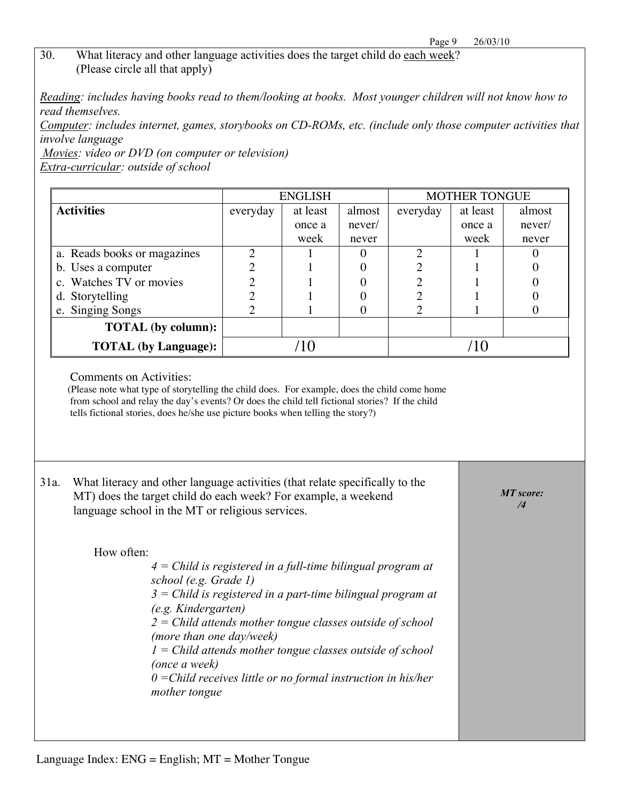#### 30. What literacy and other language activities does the target child do each week? (Please circle all that apply)

*Reading: includes having books read to them/looking at books. Most younger children will not know how to read themselves.* 

*Computer: includes internet, games, storybooks on CD-ROMs, etc. (include only those computer activities that involve language*

*Movies: video or DVD (on computer or television) Extra-curricular: outside of school*

|                             |                                | <b>ENGLISH</b> |        | <b>MOTHER TONGUE</b> |          |        |  |
|-----------------------------|--------------------------------|----------------|--------|----------------------|----------|--------|--|
| <b>Activities</b>           | at least<br>almost<br>everyday |                |        | everyday             | at least | almost |  |
|                             |                                | once a         | never/ |                      | once a   | never/ |  |
|                             |                                | week           | never  |                      | week     | never  |  |
| a. Reads books or magazines |                                |                |        |                      |          |        |  |
| b. Uses a computer          |                                |                |        |                      |          |        |  |
| c. Watches TV or movies     |                                |                |        |                      |          |        |  |
| d. Storytelling             |                                |                |        |                      |          |        |  |
| e. Singing Songs            |                                |                |        |                      |          |        |  |
| <b>TOTAL</b> (by column):   |                                |                |        |                      |          |        |  |
| <b>TOTAL</b> (by Language): |                                |                |        |                      |          |        |  |

Comments on Activities:

(Please note what type of storytelling the child does. For example, does the child come home from school and relay the day's events? Or does the child tell fictional stories? If the child tells fictional stories, does he/she use picture books when telling the story?)

31a. What literacy and other language activities (that relate specifically to the MT) does the target child do each week? For example, a weekend language school in the MT or religious services. How often: *4 = Child is registered in a full-time bilingual program at school (e.g. Grade 1) 3 = Child is registered in a part-time bilingual program at (e.g. Kindergarten) 2 = Child attends mother tongue classes outside of school (more than one day/week) 1 = Child attends mother tongue classes outside of school (once a week) 0 =Child receives little or no formal instruction in his/her mother tongue MT score: /4*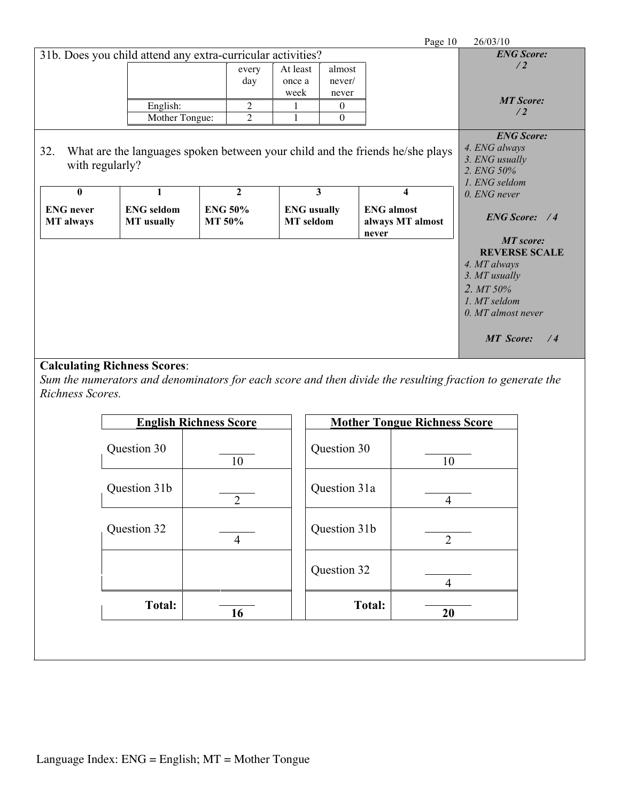|                                                             |                                        |                                 |                |                                        |                           | Page 10                                                                       | 26/03/10                                                                                                                             |
|-------------------------------------------------------------|----------------------------------------|---------------------------------|----------------|----------------------------------------|---------------------------|-------------------------------------------------------------------------------|--------------------------------------------------------------------------------------------------------------------------------------|
| 31b. Does you child attend any extra-curricular activities? | <b>ENG Score:</b>                      |                                 |                |                                        |                           |                                                                               |                                                                                                                                      |
|                                                             |                                        |                                 | every<br>day   | At least<br>once a<br>week             | almost<br>never/<br>never |                                                                               | /2                                                                                                                                   |
|                                                             | English:                               |                                 | $\overline{2}$ |                                        | $\theta$                  |                                                                               | <b>MT Score:</b>                                                                                                                     |
|                                                             | Mother Tongue:                         |                                 | $\overline{2}$ |                                        | $\theta$                  |                                                                               | /2                                                                                                                                   |
| 32.<br>with regularly?                                      |                                        |                                 |                |                                        |                           | What are the languages spoken between your child and the friends he/she plays | <b>ENG Score:</b><br>4. ENG always<br>3. ENG usually<br>2. ENG 50%<br>1. ENG seldom                                                  |
| $\mathbf{0}$                                                |                                        |                                 | $\mathbf{2}$   |                                        | 3                         | $\overline{\mathbf{4}}$                                                       | $0.$ ENG never                                                                                                                       |
| <b>ENG</b> never<br><b>MT</b> always                        | <b>ENG</b> seldom<br><b>MT</b> usually | <b>ENG 50%</b><br><b>MT 50%</b> |                | <b>ENG</b> usually<br><b>MT</b> seldom |                           | <b>ENG</b> almost<br>always MT almost<br>never                                | <b>ENG Score:</b> /4<br><b>MT</b> score:                                                                                             |
|                                                             |                                        |                                 |                |                                        |                           |                                                                               | <b>REVERSE SCALE</b><br>4. MT always<br>3. MT usually<br>2. MT 50%<br>1. MT seldom<br>$0. MT$ almost never<br><b>MT</b> Score:<br>/4 |

# **Calculating Richness Scores**:

*Sum the numerators and denominators for each score and then divide the resulting fraction to generate the Richness Scores.* 

| <b>English Richness Score</b> |                |               | <b>Mother Tongue Richness Score</b> |  |  |
|-------------------------------|----------------|---------------|-------------------------------------|--|--|
| Question 30                   | 10             | Question 30   | 10                                  |  |  |
| Question 31b                  | 2              | Question 31a  | 4                                   |  |  |
| Question 32                   | $\overline{4}$ | Question 31b  | $\overline{2}$                      |  |  |
|                               |                | Question 32   | 4                                   |  |  |
| <b>Total:</b>                 | 16             | <b>Total:</b> | 20                                  |  |  |